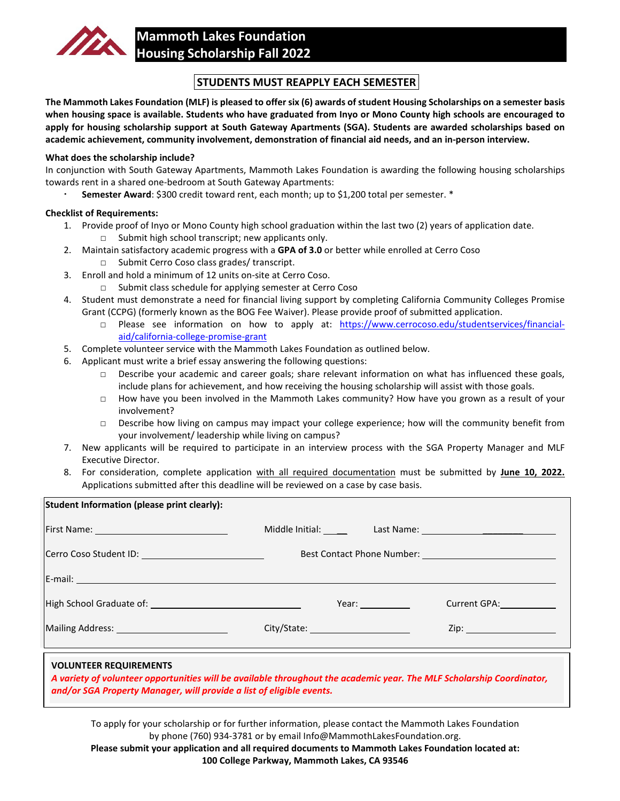

## **STUDENTS MUST REAPPLY EACH SEMESTER**

**The Mammoth Lakes Foundation (MLF) is pleased to offersix (6) awards of student Housing Scholarships on a semester basis when housing space is available. Students who have graduated from Inyo or Mono County high schools are encouraged to apply for housing scholarship support at South Gateway Apartments (SGA). Students are awarded scholarships based on academic achievement, community involvement, demonstration of financial aid needs, and an in-person interview.**

## **What does the scholarship include?**

In conjunction with South Gateway Apartments, Mammoth Lakes Foundation is awarding the following housing scholarships towards rent in a shared one-bedroom at South Gateway Apartments:

**Semester Award**: \$300 credit toward rent, each month; up to \$1,200 total per semester. \*

## **Checklist of Requirements:**

- 1. Provide proof of Inyo or Mono County high school graduation within the last two (2) years of application date. □ Submit high school transcript; new applicants only.
- 2. Maintain satisfactory academic progress with a **GPA of 3.0** or better while enrolled at Cerro Coso
	- □ Submit Cerro Coso class grades/ transcript.
- 3. Enroll and hold a minimum of 12 units on-site at Cerro Coso.
	- □ Submit class schedule for applying semester at Cerro Coso
- 4. Student must demonstrate a need for financial living support by completing California Community Colleges Promise Grant (CCPG) (formerly known as the BOG Fee Waiver). Please provide proof of submitted application.
	- □ Please see information on how to apply at: [https://www.cerrocoso.edu/studentservices/financial](https://www.cerrocoso.edu/studentservices/financial-aid/california-college-promise-grant)[aid/california-college-promise-grant](https://www.cerrocoso.edu/studentservices/financial-aid/california-college-promise-grant)
- 5. Complete volunteer service with the Mammoth Lakes Foundation as outlined below.
- 6. Applicant must write a brief essay answering the following questions:
	- □ Describe your academic and career goals; share relevant information on what has influenced these goals, include plans for achievement, and how receiving the housing scholarship will assist with those goals.
	- □ How have you been involved in the Mammoth Lakes community? How have you grown as a result of your involvement?
	- □ Describe how living on campus may impact your college experience; how will the community benefit from your involvement/ leadership while living on campus?
- 7. New applicants will be required to participate in an interview process with the SGA Property Manager and MLF Executive Director.
- 8. For consideration, complete application with all required documentation must be submitted by **June 10, 2022.**  Applications submitted after this deadline will be reviewed on a case by case basis.

| Middle Initial: Last Name: 1990 Middle Initial: |                                                                      |                                                                                                                                           |
|-------------------------------------------------|----------------------------------------------------------------------|-------------------------------------------------------------------------------------------------------------------------------------------|
|                                                 |                                                                      |                                                                                                                                           |
|                                                 |                                                                      |                                                                                                                                           |
|                                                 |                                                                      |                                                                                                                                           |
|                                                 |                                                                      | Current GPA: New York                                                                                                                     |
|                                                 |                                                                      |                                                                                                                                           |
|                                                 |                                                                      |                                                                                                                                           |
|                                                 | and/or SGA Property Manager, will provide a list of eligible events. | Year: $\sqrt{ }$<br>A variety of volunteer opportunities will be available throughout the academic year. The MLF Scholarship Coordinator, |

To apply for your scholarship or for further information, please contact the Mammoth Lakes Foundation by phone (760) 934-3781 or by email Info@MammothLakesFoundation.org.

**Please submit your application and all required documents to Mammoth Lakes Foundation located at: 100 College Parkway, Mammoth Lakes, CA 93546**